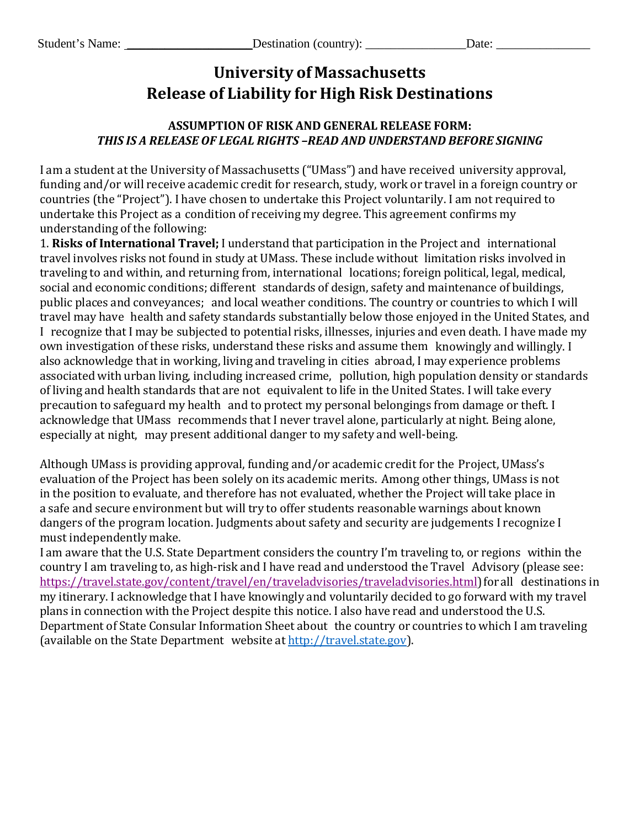## **University of Massachusetts Release of Liability for High Risk Destinations**

## **ASSUMPTION OF RISK AND GENERAL RELEASE FORM:** *THIS IS A RELEASE OF LEGAL RIGHTS –READ AND UNDERSTAND BEFORE SIGNING*

I am a student at the University of Massachusetts ("UMass") and have received university approval, funding and/or will receive academic credit for research, study, work or travel in a foreign country or countries (the "Project"). I have chosen to undertake this Project voluntarily. I am not required to undertake this Project as a condition of receiving my degree. This agreement confirms my understanding of the following:

1. **Risks of International Travel;** I understand that participation in the Project and international travel involves risks not found in study at UMass. These include without limitation risks involved in traveling to and within, and returning from, international locations; foreign political, legal, medical, social and economic conditions; different standards of design, safety and maintenance of buildings, public places and conveyances; and local weather conditions. The country or countries to which I will travel may have health and safety standards substantially below those enjoyed in the United States, and I recognize that I may be subjected to potential risks, illnesses, injuries and even death. I have made my own investigation of these risks, understand these risks and assume them knowingly and willingly. I also acknowledge that in working, living and traveling in cities abroad, I may experience problems associated with urban living, including increased crime, pollution, high population density or standards of living and health standards that are not equivalent to life in the United States. I will take every precaution to safeguard my health and to protect my personal belongings from damage or theft. I acknowledge that UMass recommends that I never travel alone, particularly at night. Being alone, especially at night, may present additional danger to my safety and well-being.

Although UMass is providing approval, funding and/or academic credit for the Project, UMass's evaluation of the Project has been solely on its academic merits. Among other things, UMass is not in the position to evaluate, and therefore has not evaluated, whether the Project will take place in a safe and secure environment but will try to offer students reasonable warnings about known dangers of the program location. Judgments about safety and security are judgements I recognize I must independently make.

I am aware that the U.S. State Department considers the country I'm traveling to, or regions within the country I am traveling to, as high-risk and I have read and understood the Travel Advisory (please see: [https://travel.state.gov/content/travel/en/traveladvisories/traveladvisories.html\)](https://travel.state.gov/content/travel/en/traveladvisories/traveladvisories.html)for all destinations in my itinerary. I acknowledge that I have knowingly and voluntarily decided to go forward with my travel plans in connection with the Project despite this notice. I also have read and understood the U.S. Department of State Consular Information Sheet about the country or countries to which I am traveling (available on the State Department website at [http://travel.state.gov\)](http://travel.state.gov/).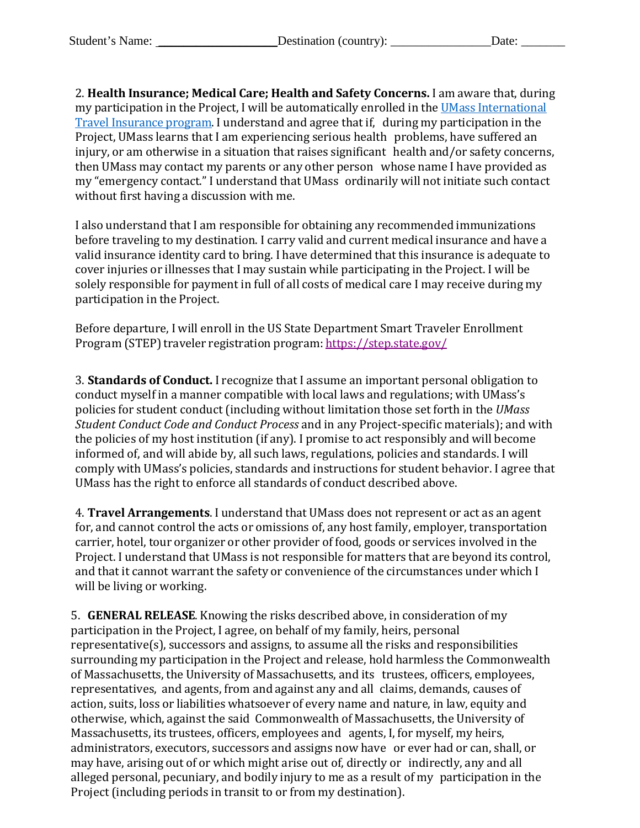2. **Health Insurance; Medical Care; Health and Safety Concerns.** I am aware that, during my participation in the Project, I will be automatically enrolled in the [UMass International](https://www.umassp.edu/hr/international-travel-insurance)  [Travel Insurance program.](https://www.umassp.edu/hr/international-travel-insurance) I understand and agree that if, during my participation in the Project, UMass learns that I am experiencing serious health problems, have suffered an injury, or am otherwise in a situation that raises significant health and/or safety concerns, then UMass may contact my parents or any other person whose name I have provided as my "emergency contact." I understand that UMass ordinarily will not initiate such contact without first having a discussion with me.

I also understand that I am responsible for obtaining any recommended immunizations before traveling to my destination. I carry valid and current medical insurance and have a valid insurance identity card to bring. I have determined that this insurance is adequate to cover injuries or illnesses that I may sustain while participating in the Project. I will be solely responsible for payment in full of all costs of medical care I may receive during my participation in the Project.

Before departure, I will enroll in the US State Department Smart Traveler Enrollment Program (STEP) traveler registration program: <https://step.state.gov/>

3. **Standards of Conduct.** I recognize that I assume an important personal obligation to conduct myself in a manner compatible with local laws and regulations; with UMass's policies for student conduct (including without limitation those set forth in the *UMass Student Conduct Code and Conduct Process* and in any Project-specific materials); and with the policies of my host institution (if any). I promise to act responsibly and will become informed of, and will abide by, all such laws, regulations, policies and standards. I will comply with UMass's policies, standards and instructions for student behavior. I agree that UMass has the right to enforce all standards of conduct described above.

4. **Travel Arrangements**. I understand that UMass does not represent or act as an agent for, and cannot control the acts or omissions of, any host family, employer, transportation carrier, hotel, tour organizer or other provider of food, goods or services involved in the Project. I understand that UMass is not responsible for matters that are beyond its control, and that it cannot warrant the safety or convenience of the circumstances under which I will be living or working.

5. **GENERAL RELEASE**. Knowing the risks described above, in consideration of my participation in the Project, I agree, on behalf of my family, heirs, personal representative(s), successors and assigns, to assume all the risks and responsibilities surrounding my participation in the Project and release, hold harmless the Commonwealth of Massachusetts, the University of Massachusetts, and its trustees, officers, employees, representatives, and agents, from and against any and all claims, demands, causes of action, suits, loss or liabilities whatsoever of every name and nature, in law, equity and otherwise, which, against the said Commonwealth of Massachusetts, the University of Massachusetts, its trustees, officers, employees and agents, I, for myself, my heirs, administrators, executors, successors and assigns now have or ever had or can, shall, or may have, arising out of or which might arise out of, directly or indirectly, any and all alleged personal, pecuniary, and bodily injury to me as a result of my participation in the Project (including periods in transit to or from my destination).